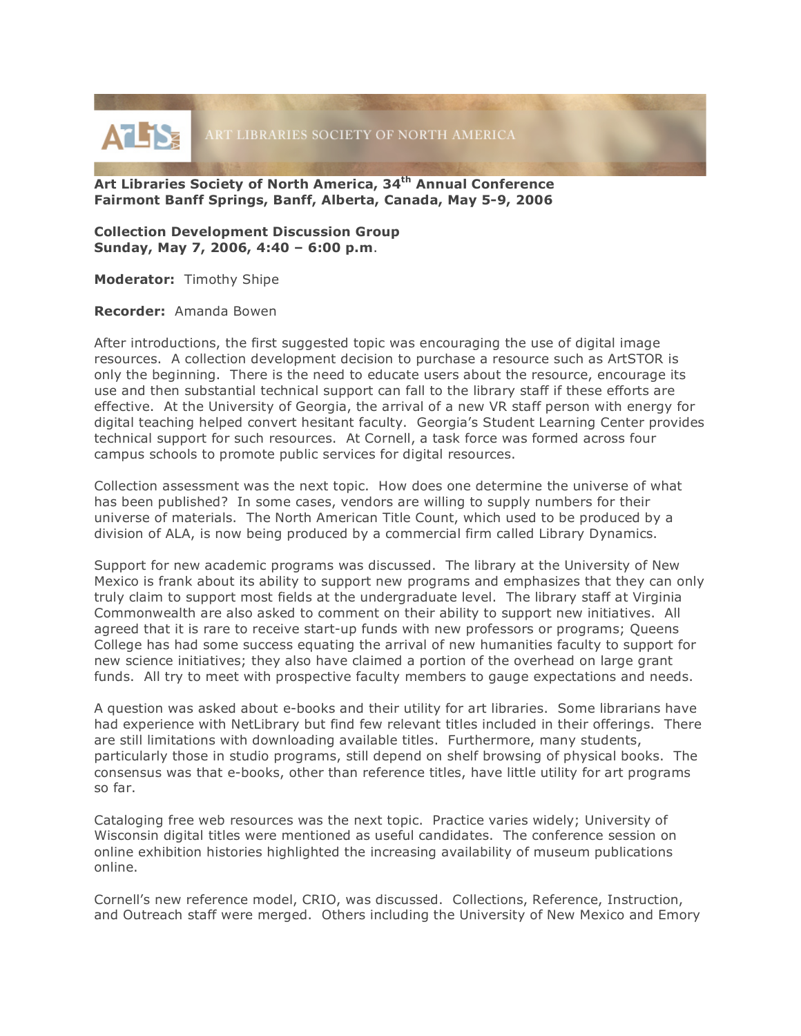

**Art Libraries Society of North America, 34th Annual Conference Fairmont Banff Springs, Banff, Alberta, Canada, May 5-9, 2006**

**Collection Development Discussion Group Sunday, May 7, 2006, 4:40 – 6:00 p.m**.

**Moderator:** Timothy Shipe

**Recorder:** Amanda Bowen

After introductions, the first suggested topic was encouraging the use of digital image resources. A collection development decision to purchase a resource such as ArtSTOR is only the beginning. There is the need to educate users about the resource, encourage its use and then substantial technical support can fall to the library staff if these efforts are effective. At the University of Georgia, the arrival of a new VR staff person with energy for digital teaching helped convert hesitant faculty. Georgia's Student Learning Center provides technical support for such resources. At Cornell, a task force was formed across four campus schools to promote public services for digital resources.

Collection assessment was the next topic. How does one determine the universe of what has been published? In some cases, vendors are willing to supply numbers for their universe of materials. The North American Title Count, which used to be produced by a division of ALA, is now being produced by a commercial firm called Library Dynamics.

Support for new academic programs was discussed. The library at the University of New Mexico is frank about its ability to support new programs and emphasizes that they can only truly claim to support most fields at the undergraduate level. The library staff at Virginia Commonwealth are also asked to comment on their ability to support new initiatives. All agreed that it is rare to receive start-up funds with new professors or programs; Queens College has had some success equating the arrival of new humanities faculty to support for new science initiatives; they also have claimed a portion of the overhead on large grant funds. All try to meet with prospective faculty members to gauge expectations and needs.

A question was asked about e-books and their utility for art libraries. Some librarians have had experience with NetLibrary but find few relevant titles included in their offerings. There are still limitations with downloading available titles. Furthermore, many students, particularly those in studio programs, still depend on shelf browsing of physical books. The consensus was that e-books, other than reference titles, have little utility for art programs so far.

Cataloging free web resources was the next topic. Practice varies widely; University of Wisconsin digital titles were mentioned as useful candidates. The conference session on online exhibition histories highlighted the increasing availability of museum publications online.

Cornell's new reference model, CRIO, was discussed. Collections, Reference, Instruction, and Outreach staff were merged. Others including the University of New Mexico and Emory